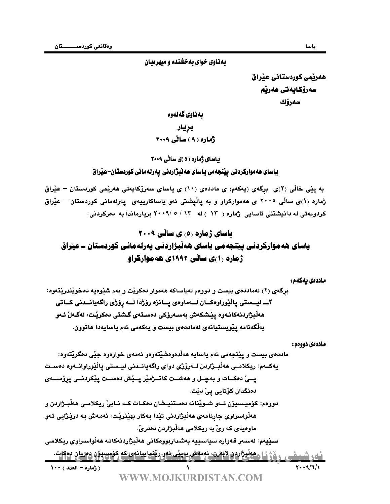### بهناوی خوای بهخشنده و میهرهبان

هەرپمى كوردستانى عيراق سەرۆكايەتى ھەرپم سەرۆك

# بەناوي گەلەوە برپار<br>ژماره ( ۹ ) ساٽي ۲۰۰۹

#### **بیاسای ژماره ( د )ی سالّی ۲۰۰۹**

## ياساى هەمواركردنى پينجەمى ياساى ھەٽبژاردنى پەرلەمانى كوردستان–عيراق

به يێی خاڵی (۲)ی برگەی (پەکەم) ی ماددەی (۱۰) ی پاسای سەرۆکاپەتی ھەرێمی کوردستان – عێراق ژماره (۱)ی ساڵی ۲۰۰۵ ی هەموارکراو و به یاڵیشتی ئەو یاساکارییەی یەرلەمانی کوردستان – عیٚراق كردويهتي له دانيشتني ئاسايي ژماره ( ١٣ - ) له ١٣ / ٥ /٢٠٠٩ بريارماندا به دەركردني:

# **پاسای ژماره ۵**، ی سائبی ۲۰۰۹

# یاسای هه موارخردنی پینجه می یاسای ههلبزاردنی پهرنه مانی خوردسعان = عیراق **زماره (۱)ی سالی ۱۹۹۲ی هه موارتزاو**

#### ماددەى يەكەم :

برگەي (۲) لەماددەي بيست و دوومم لەياساكە ھەموار دەكريت و بەم شيوەيە دەخويندريتەوە:

٢ـــ ليـــستى پاڵێوراوەكـــان لـــەماوەي پـــانزە رۆژدا لــــە رۆژى راگەيانـــدنى كـــاتى ھەڵبژاردنەكانـەوە يێشكەش بەسـەرۆكى دەسـتەي گـشتى دەكرێت، لەگـەلْ ئـەو بەلْگەنامە يێويستيانەي لەماددەي بيست و يەكەمى ئەم ياسايەدا ھاتوون.

#### ماددەى دووەم :

ماددەي بىست و يٽنجەمى ئەم باسابە ھەلّدەوەشٽتەوەو ئەمەي خوارەوە جٽى دەگرێتەوە: يەكــەم: ريكلامــي ھەڵبــژاردن لــەرۆژي دواي راگەيانــدني ليــستي ياڵێوراوانــەوه دەســت يـــىٰ دەكــات و بەچــل و ھەشــت كاتـــژمێر يـــێش دەســت يێكردنـــى يرۆســـەي دەنگدان كۆتايى يىْ دێت.

 !"#\$%&'()\*+,-!.#" لووهم: کۆميـسيۆن ئــەو شــوێنانه دەستنيــشان دەکــات کــه نــابيّ ريكلامــي هەڵبــژاردن و هەڵواسراوي جارنامەي ھەڵبژاردنى تێدا بـەكار بهێنرێت، ئەمـەش بـە درێژايي ئـەو ماوهيەي كە رىْ بە ريكلامى ھەڵىژاردن دەدرىْ.

( زُماره - العدد ) ١٠٠ <u>ئەرشىفى رۆژنا مەلىژاردە لاشنى ئەمەش بەينى ئەرىنماييانەي كە كۆمسىۇن دەريان دەكات.</u><br>سىمارىشى<u>فى رۆژنا مەلىژاردە لاشىمى كىلوپائىس</u>ى سيڤيهم: لەسىەر قەوارە سياسىييە بەشداربووەكانى ھەڵبژاردنەكانـە ھەڵواسىراوى ريكلامـى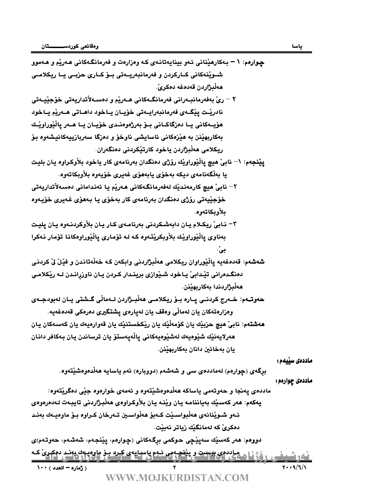ھەلْدژاردن قەدەغە دەكرىّ. /:E344G7G\N]/:E389B^EW\_344`AQ/0/67893445/:;<=344>;<293?/:;B9344O;<293?3H/7[9/Z/ نادريّـت يێِگــهي فەرمانبەرايــەتى خۆيــان يــاخود داھــاتى ھــەريّم يــاخود هۆيــەكانى يــا دەزگاكــانى بــۆ بەرژەوەنــدى خۆيــان يــا ھــەر ياڵێوراوێـك بهكاربهيّنن به هيّزهكاني ئاسايشي ناوخوّ و دەزگا سەربازييەكانيشەوه بوّ ريكلامي هەڵبژاردن ياخود كارتێكردني دەنگەران. **يٽِنجهم: ١– نابي**ّ هيچ ياٽيوراويّك روّڻي دهنگدان بهرنامهي كار ياخود بلاّوكراوه يان بليت يا بەلگەنامەي ديكە بەخۆي يابەھۆي غەيرى خۆيەوە بلاّويكاتەوە. <sup>—</sup> نابيّ هيچ كارمەنديّك لەفەرمانگەكانى ھەريّم يا ئەندامانى دەسەلأتداريەتى خۆجێيەتى رۆژى دەنگدان بەرنامەي كار بەخۆي يا بەھۆي غەيرى خۆيەوە يلأو يكاتهو م. <sup>س</sup> نابیِّ ریکلام یان دابهشکردنی بهرنامهی کار یان بلاْوکردنـهوه یان پلیت بەناوى يالْيْوراويْك بلأوبكريْتەوە كـه لـه تۆمارى يالْيْوراوەكانـا تۆمار نـەكرا بي.<br>ا **شەشەم:** قەدەغەيە ياڵێوراوان ريكلامى ھەڵبژاردنى وابكەن كە خەڵەتاندن و فێڵ ڵى كردنى دەنگىدەرانى تێدابى ّيـاخود شىيّوازى برينىدار كىردن يـان ناوزرانىدن لــه ريكلامـى ھەلْبژاردندا بەكاربھێنن. حەوتـــەم: خـــەرج كردنـــي يـــارە بـــۆ ريـكلامــي ھەڵبـــژاردن لـــەماڵي گـــشتي يـــان لـەبودجـــەي وهزارهتهكان يان لهمالّي وهقف يان لهيارهي يشتكيري دهرهكي قهدهغهيه. **هەشتەم: نابي**ّ هيچ حزبيّك يان كۆمەڵێك يان ريْكخستنيّك يان قەوارەيەك يان كەسـەكان يـان ھەرلايەنيْك شيوەيەك لەشيوەيەكانى يالْەيەستۆ يان ترساندن يان بەكافر دانان يان بەخائين دانان بەكاربھێنن. ماددەى سێيەم : برگەي (چوارەم) لەماددەي سى و شەشەم (دووبارە) ئەم ياسايە ھەڵدەوەشێتەوە. :<br>مادد*هی* پهنجا و حەوتەمی ياساكە ھەڵدەوەشێتەوە و ئەمەی خوارەوە جێی د<br>**يەكە**م: ھەر كەسێك بەياننامە يـان وێنـە يـان بلاّوكـراوەی ھەڵبـژاردنی تا؛<br>ئـەو شىوێنانەی ھەڵبواسـێت كـەبۆ مەلواسـين تـەرخان كـراوە بـ<br>دوومم: ھەر كەسێك ماددەي يەنجا و حەوتەمى ياساكە ھەڵدەوەشێتەوە و ئەمەي خوارەوە جێي دەگرێتەوە: يەكەم: ھەر كەسىيك بەياننامە يان وينـه يان بلاّوكراوەي ھەلْبـژاردنى تايبـەت لـەدەرەوەي ئــهو شــويْنانهي هەڵبواســيْت كــەبۆ ھەڵواســين تــەرخان كــراوە بــۆ ماوەيــەك بەنــد دەكرىْ كە لەمانگێك زياتر نەبێت. لووهم: هەر كەسێك سەپێچى حوكمى برگەكانى (چوارەم، پێنجەم، شەشەم، حەوتەم)ى میاددوي بېشت و پنځچه می شده پاسهایهي کېږد بېر هاوهیه په بند دوکړي که<br><u>۱۹۵۰ - زیا کسي کمل ( است او ۱۹۵۰ کسي) (۱۹۵۵ کسي)</u> <u>لغرسيني روزنامةي</u>

چوارهم: ١ – بـهكارهێناني ئـهو بينايهتانـهي كـه وهزارهت و فهرمانگـهكاني هـهرێم و هـهموو

شــويْنهكاني كــاركردن و فەرمانبەريـــەتى بــۆ كــارى حزبــي يــا ريكلامــي

۰۰۰ ( ژماره – العدد )<br>WWW.MO.IKURDISTAN.COM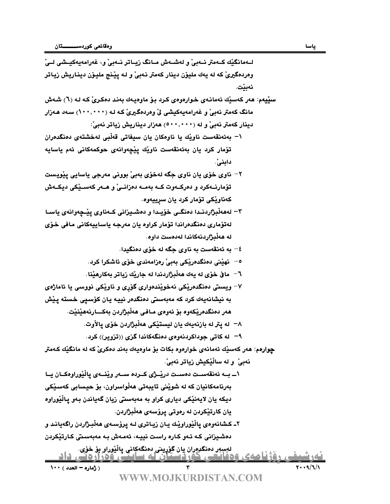| وهردهگيريٰ که له يهك مليوْن دينار كهمتر نـهبيٰ و لـه پيْـنج مليـوْن دينـاريش زيـاتر<br>نەبنت.<br>سێيهم: هەر كەسێك ئەمانـەي خـوارەوەي كـرد بـۆ ماوەيـەك بەنـد دەكـرىّ كـه لـه (٦) شـەش<br>مانگ کەمتر نەبىؒ و غەرامەيەكيشى لؒ وەردەگیرىؒ کە لـە (١٠٠,٠٠٠) سـەد ھـەزار<br>دینار کهمتر نهبیؒ و له (۰۰۰٬۰۰۰) ههزار دیناریش زیاتر نهبیؒ:<br>۱– بەئەنقەست ناويْك يا ناوەكان يان سيفاتى قەلْبى لەخشتەي دەنگدەران<br>تۆمار كرد يان بەئەنقەست ناويْك پيْچەوانەي حوكمەكانى ئەم ياسايە<br>دابني".<br><sup>7</sup> – ناوي خۆي يان ناوي جگه لهخۆي بەبيٰ بووني مەرجى ياسايي يێويست<br>تۆمارنــەكرد و دەركــەوت كــە بەمــە دەزانــىّ و ھــەر كەســێكى ديكــەش<br>كەناويكى تۆمار كرد يان سرييەوە.<br>۳– لەھەڵبژاردنــدا دەنگــى خۆيــدا و دەشــيزانى كــەناوى پێــچەوانەى ياســا<br>لەتۆمارى دەنگدەراندا تۆمار كراوە يان مەرجە ياساييەكانى مافى خۆي<br>له هەڵبژاردنەكاندا لەدەست داوە.<br>٤– به ئەنقەست بە ناوى جگه له خۆى دەنگيدا.<br><sup>0</sup> –   نهێنی دەنگدەرێکی بەبیْ رەزامەندی خۆی ئاشکرا کرد.<br>٦–   ماق خۆى له يەك ھەڵبژاردندا لە جارێك زياتر بەكارھێنا .<br>۷– ویستی دهنگدهریکی نهخویْندهواری گۆری و ناویْکی نووسی یا ئاماژ <i>هی</i><br>به نيشانەيەك كرد كە مەبەستى دەنگدەر نييـە يـان كۆسىپى خستە پـێش<br>هەر دەنگدەريكەوە بۆ ئەوەي مـافـي ھەلْبژاردن بەكـــارنەھێنێت.<br>٨−  له يتر له بازنهيهك يان ليستيْكي هەلْبژاردن خۆي يالأوت.<br>۹– له کاتی جوداکردنهوهی دهنگهکاندا گزی ((تزویر)) کرد.<br><mark>چوارهم</mark> : هەر كەسێك ئەمانەي خوارەوە بكات بۆ ماوەيەك بەند دەكرىّ كە لە مانگێك كەمتر<br>نەبىؒ و لە ساڵێكيش زياتر نەبىؒ.<br>١_ بــه ئەنقەســت دەســت دريْــژى كــردە ســـەر ويْنـــەى يالْيْوراوەكــان يــا<br>بەرنامەكانيان كە لە شويىنى تايبەتى ھەلواسراون، بۆ حيسابى كەسىيكى<br>ديکه يان لايەنێکى ديارى کراو بە مەبەستى زيان گەياندن بەو پاڵێوراوە<br>يان كارتێكردن له رەوتى پرۆسەي ھەڵبژاردن.<br>۲ـ کشانەوەي ياڵێوراوێك يـان زيـاترى لـه پرۆسـەي ھەڵبـژاردن راگەيانـد و<br>دەشيزانى كـه ئـەو كـارە راست نييـه، ئەمـەش بـه مەبەسىتى كـارتێكردن<br>ليسور دەنگروران يان گۆرينى دەنگەكانى يالْيْوراو بۆ خۆي.<br>۲۰۰۹/٦/۱<br>( ژمارہ – العدد ) ۱۰۰<br>WW.MO.IKURDISTAN.COM |  | لــهمانگێك كــهمتر نــهبيّ و لهشــهش مــانگ زيــاتر نــهبيّ و، غهرامهيهكيــشي لــيّ |
|-------------------------------------------------------------------------------------------------------------------------------------------------------------------------------------------------------------------------------------------------------------------------------------------------------------------------------------------------------------------------------------------------------------------------------------------------------------------------------------------------------------------------------------------------------------------------------------------------------------------------------------------------------------------------------------------------------------------------------------------------------------------------------------------------------------------------------------------------------------------------------------------------------------------------------------------------------------------------------------------------------------------------------------------------------------------------------------------------------------------------------------------------------------------------------------------------------------------------------------------------------------------------------------------------------------------------------------------------------------------------------------------------------------------------------------------------------------------------------------------------------------------------------------------------------------------------------------------------------------------------------------------------------------------------------------------------------------------------------------------------------------------------------------------------------------------------------------------------------------------------------------------------------------------------------------------------------------------------------------------------------------------------------------------------------------------------------------|--|-------------------------------------------------------------------------------------|
|                                                                                                                                                                                                                                                                                                                                                                                                                                                                                                                                                                                                                                                                                                                                                                                                                                                                                                                                                                                                                                                                                                                                                                                                                                                                                                                                                                                                                                                                                                                                                                                                                                                                                                                                                                                                                                                                                                                                                                                                                                                                                     |  |                                                                                     |
|                                                                                                                                                                                                                                                                                                                                                                                                                                                                                                                                                                                                                                                                                                                                                                                                                                                                                                                                                                                                                                                                                                                                                                                                                                                                                                                                                                                                                                                                                                                                                                                                                                                                                                                                                                                                                                                                                                                                                                                                                                                                                     |  |                                                                                     |
|                                                                                                                                                                                                                                                                                                                                                                                                                                                                                                                                                                                                                                                                                                                                                                                                                                                                                                                                                                                                                                                                                                                                                                                                                                                                                                                                                                                                                                                                                                                                                                                                                                                                                                                                                                                                                                                                                                                                                                                                                                                                                     |  |                                                                                     |
|                                                                                                                                                                                                                                                                                                                                                                                                                                                                                                                                                                                                                                                                                                                                                                                                                                                                                                                                                                                                                                                                                                                                                                                                                                                                                                                                                                                                                                                                                                                                                                                                                                                                                                                                                                                                                                                                                                                                                                                                                                                                                     |  |                                                                                     |
|                                                                                                                                                                                                                                                                                                                                                                                                                                                                                                                                                                                                                                                                                                                                                                                                                                                                                                                                                                                                                                                                                                                                                                                                                                                                                                                                                                                                                                                                                                                                                                                                                                                                                                                                                                                                                                                                                                                                                                                                                                                                                     |  |                                                                                     |
|                                                                                                                                                                                                                                                                                                                                                                                                                                                                                                                                                                                                                                                                                                                                                                                                                                                                                                                                                                                                                                                                                                                                                                                                                                                                                                                                                                                                                                                                                                                                                                                                                                                                                                                                                                                                                                                                                                                                                                                                                                                                                     |  |                                                                                     |
|                                                                                                                                                                                                                                                                                                                                                                                                                                                                                                                                                                                                                                                                                                                                                                                                                                                                                                                                                                                                                                                                                                                                                                                                                                                                                                                                                                                                                                                                                                                                                                                                                                                                                                                                                                                                                                                                                                                                                                                                                                                                                     |  |                                                                                     |
|                                                                                                                                                                                                                                                                                                                                                                                                                                                                                                                                                                                                                                                                                                                                                                                                                                                                                                                                                                                                                                                                                                                                                                                                                                                                                                                                                                                                                                                                                                                                                                                                                                                                                                                                                                                                                                                                                                                                                                                                                                                                                     |  |                                                                                     |
|                                                                                                                                                                                                                                                                                                                                                                                                                                                                                                                                                                                                                                                                                                                                                                                                                                                                                                                                                                                                                                                                                                                                                                                                                                                                                                                                                                                                                                                                                                                                                                                                                                                                                                                                                                                                                                                                                                                                                                                                                                                                                     |  |                                                                                     |
|                                                                                                                                                                                                                                                                                                                                                                                                                                                                                                                                                                                                                                                                                                                                                                                                                                                                                                                                                                                                                                                                                                                                                                                                                                                                                                                                                                                                                                                                                                                                                                                                                                                                                                                                                                                                                                                                                                                                                                                                                                                                                     |  |                                                                                     |
|                                                                                                                                                                                                                                                                                                                                                                                                                                                                                                                                                                                                                                                                                                                                                                                                                                                                                                                                                                                                                                                                                                                                                                                                                                                                                                                                                                                                                                                                                                                                                                                                                                                                                                                                                                                                                                                                                                                                                                                                                                                                                     |  |                                                                                     |
|                                                                                                                                                                                                                                                                                                                                                                                                                                                                                                                                                                                                                                                                                                                                                                                                                                                                                                                                                                                                                                                                                                                                                                                                                                                                                                                                                                                                                                                                                                                                                                                                                                                                                                                                                                                                                                                                                                                                                                                                                                                                                     |  |                                                                                     |
|                                                                                                                                                                                                                                                                                                                                                                                                                                                                                                                                                                                                                                                                                                                                                                                                                                                                                                                                                                                                                                                                                                                                                                                                                                                                                                                                                                                                                                                                                                                                                                                                                                                                                                                                                                                                                                                                                                                                                                                                                                                                                     |  |                                                                                     |
|                                                                                                                                                                                                                                                                                                                                                                                                                                                                                                                                                                                                                                                                                                                                                                                                                                                                                                                                                                                                                                                                                                                                                                                                                                                                                                                                                                                                                                                                                                                                                                                                                                                                                                                                                                                                                                                                                                                                                                                                                                                                                     |  |                                                                                     |
|                                                                                                                                                                                                                                                                                                                                                                                                                                                                                                                                                                                                                                                                                                                                                                                                                                                                                                                                                                                                                                                                                                                                                                                                                                                                                                                                                                                                                                                                                                                                                                                                                                                                                                                                                                                                                                                                                                                                                                                                                                                                                     |  |                                                                                     |
|                                                                                                                                                                                                                                                                                                                                                                                                                                                                                                                                                                                                                                                                                                                                                                                                                                                                                                                                                                                                                                                                                                                                                                                                                                                                                                                                                                                                                                                                                                                                                                                                                                                                                                                                                                                                                                                                                                                                                                                                                                                                                     |  |                                                                                     |
|                                                                                                                                                                                                                                                                                                                                                                                                                                                                                                                                                                                                                                                                                                                                                                                                                                                                                                                                                                                                                                                                                                                                                                                                                                                                                                                                                                                                                                                                                                                                                                                                                                                                                                                                                                                                                                                                                                                                                                                                                                                                                     |  |                                                                                     |
|                                                                                                                                                                                                                                                                                                                                                                                                                                                                                                                                                                                                                                                                                                                                                                                                                                                                                                                                                                                                                                                                                                                                                                                                                                                                                                                                                                                                                                                                                                                                                                                                                                                                                                                                                                                                                                                                                                                                                                                                                                                                                     |  |                                                                                     |
|                                                                                                                                                                                                                                                                                                                                                                                                                                                                                                                                                                                                                                                                                                                                                                                                                                                                                                                                                                                                                                                                                                                                                                                                                                                                                                                                                                                                                                                                                                                                                                                                                                                                                                                                                                                                                                                                                                                                                                                                                                                                                     |  |                                                                                     |
|                                                                                                                                                                                                                                                                                                                                                                                                                                                                                                                                                                                                                                                                                                                                                                                                                                                                                                                                                                                                                                                                                                                                                                                                                                                                                                                                                                                                                                                                                                                                                                                                                                                                                                                                                                                                                                                                                                                                                                                                                                                                                     |  |                                                                                     |
|                                                                                                                                                                                                                                                                                                                                                                                                                                                                                                                                                                                                                                                                                                                                                                                                                                                                                                                                                                                                                                                                                                                                                                                                                                                                                                                                                                                                                                                                                                                                                                                                                                                                                                                                                                                                                                                                                                                                                                                                                                                                                     |  |                                                                                     |
|                                                                                                                                                                                                                                                                                                                                                                                                                                                                                                                                                                                                                                                                                                                                                                                                                                                                                                                                                                                                                                                                                                                                                                                                                                                                                                                                                                                                                                                                                                                                                                                                                                                                                                                                                                                                                                                                                                                                                                                                                                                                                     |  |                                                                                     |
|                                                                                                                                                                                                                                                                                                                                                                                                                                                                                                                                                                                                                                                                                                                                                                                                                                                                                                                                                                                                                                                                                                                                                                                                                                                                                                                                                                                                                                                                                                                                                                                                                                                                                                                                                                                                                                                                                                                                                                                                                                                                                     |  |                                                                                     |
|                                                                                                                                                                                                                                                                                                                                                                                                                                                                                                                                                                                                                                                                                                                                                                                                                                                                                                                                                                                                                                                                                                                                                                                                                                                                                                                                                                                                                                                                                                                                                                                                                                                                                                                                                                                                                                                                                                                                                                                                                                                                                     |  |                                                                                     |
|                                                                                                                                                                                                                                                                                                                                                                                                                                                                                                                                                                                                                                                                                                                                                                                                                                                                                                                                                                                                                                                                                                                                                                                                                                                                                                                                                                                                                                                                                                                                                                                                                                                                                                                                                                                                                                                                                                                                                                                                                                                                                     |  |                                                                                     |
|                                                                                                                                                                                                                                                                                                                                                                                                                                                                                                                                                                                                                                                                                                                                                                                                                                                                                                                                                                                                                                                                                                                                                                                                                                                                                                                                                                                                                                                                                                                                                                                                                                                                                                                                                                                                                                                                                                                                                                                                                                                                                     |  |                                                                                     |
|                                                                                                                                                                                                                                                                                                                                                                                                                                                                                                                                                                                                                                                                                                                                                                                                                                                                                                                                                                                                                                                                                                                                                                                                                                                                                                                                                                                                                                                                                                                                                                                                                                                                                                                                                                                                                                                                                                                                                                                                                                                                                     |  |                                                                                     |
|                                                                                                                                                                                                                                                                                                                                                                                                                                                                                                                                                                                                                                                                                                                                                                                                                                                                                                                                                                                                                                                                                                                                                                                                                                                                                                                                                                                                                                                                                                                                                                                                                                                                                                                                                                                                                                                                                                                                                                                                                                                                                     |  |                                                                                     |
|                                                                                                                                                                                                                                                                                                                                                                                                                                                                                                                                                                                                                                                                                                                                                                                                                                                                                                                                                                                                                                                                                                                                                                                                                                                                                                                                                                                                                                                                                                                                                                                                                                                                                                                                                                                                                                                                                                                                                                                                                                                                                     |  |                                                                                     |
|                                                                                                                                                                                                                                                                                                                                                                                                                                                                                                                                                                                                                                                                                                                                                                                                                                                                                                                                                                                                                                                                                                                                                                                                                                                                                                                                                                                                                                                                                                                                                                                                                                                                                                                                                                                                                                                                                                                                                                                                                                                                                     |  |                                                                                     |
|                                                                                                                                                                                                                                                                                                                                                                                                                                                                                                                                                                                                                                                                                                                                                                                                                                                                                                                                                                                                                                                                                                                                                                                                                                                                                                                                                                                                                                                                                                                                                                                                                                                                                                                                                                                                                                                                                                                                                                                                                                                                                     |  |                                                                                     |
|                                                                                                                                                                                                                                                                                                                                                                                                                                                                                                                                                                                                                                                                                                                                                                                                                                                                                                                                                                                                                                                                                                                                                                                                                                                                                                                                                                                                                                                                                                                                                                                                                                                                                                                                                                                                                                                                                                                                                                                                                                                                                     |  |                                                                                     |
|                                                                                                                                                                                                                                                                                                                                                                                                                                                                                                                                                                                                                                                                                                                                                                                                                                                                                                                                                                                                                                                                                                                                                                                                                                                                                                                                                                                                                                                                                                                                                                                                                                                                                                                                                                                                                                                                                                                                                                                                                                                                                     |  |                                                                                     |
|                                                                                                                                                                                                                                                                                                                                                                                                                                                                                                                                                                                                                                                                                                                                                                                                                                                                                                                                                                                                                                                                                                                                                                                                                                                                                                                                                                                                                                                                                                                                                                                                                                                                                                                                                                                                                                                                                                                                                                                                                                                                                     |  |                                                                                     |
|                                                                                                                                                                                                                                                                                                                                                                                                                                                                                                                                                                                                                                                                                                                                                                                                                                                                                                                                                                                                                                                                                                                                                                                                                                                                                                                                                                                                                                                                                                                                                                                                                                                                                                                                                                                                                                                                                                                                                                                                                                                                                     |  |                                                                                     |
|                                                                                                                                                                                                                                                                                                                                                                                                                                                                                                                                                                                                                                                                                                                                                                                                                                                                                                                                                                                                                                                                                                                                                                                                                                                                                                                                                                                                                                                                                                                                                                                                                                                                                                                                                                                                                                                                                                                                                                                                                                                                                     |  |                                                                                     |
|                                                                                                                                                                                                                                                                                                                                                                                                                                                                                                                                                                                                                                                                                                                                                                                                                                                                                                                                                                                                                                                                                                                                                                                                                                                                                                                                                                                                                                                                                                                                                                                                                                                                                                                                                                                                                                                                                                                                                                                                                                                                                     |  |                                                                                     |
|                                                                                                                                                                                                                                                                                                                                                                                                                                                                                                                                                                                                                                                                                                                                                                                                                                                                                                                                                                                                                                                                                                                                                                                                                                                                                                                                                                                                                                                                                                                                                                                                                                                                                                                                                                                                                                                                                                                                                                                                                                                                                     |  |                                                                                     |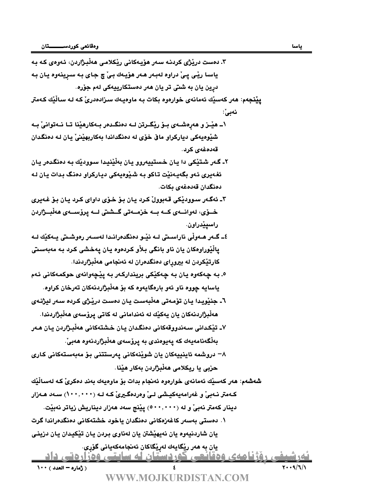ماره – العدد)<br>WWW.MO.IKURDISTAN.COM <u>- دورسیشی روژنامهی ودهانشی خوردستان که ساینپی ودراردنی داد.</u> شەشقە: ھەر كەسىيە ئەمانەى خوارەوە ئەنجام بدات بۇ ماوەيەك بەند دە:<br>كەمتر نــەبى<sup>ت</sup> و غەرامەيـەكيـشى لــىّ وەردەگــيرىّ كــە لــە (٠٠٠,٠٠٠)<br>دينار كەمتر نـەبـىّ و لـه (٠٠٠,٠٠٠٠) پيّنج سەد ھەزار ديناريش ;<br>يان شاردنيـەوە يـان ٣. دەست دريْژي كردنـه سـەر ھۆيـەكانـي ريْكلامـي ھەلْبـژاردن، ئـەوەي كـه بـه ياسـا ريْـي يـيْ دراوه لەبـەر ھـەر ھۆپـەك بـيْ چ جـاي بـه سـرينـەوه يـان بـه درين يان به شتي تر يان هەر دەستكارپيەكى لەم جۆرە. **يێنجهم**: هەر كەسى<u>ن</u>ك ئەمانەي خوارەوە بكات بـه ماوەيـەك سىزادەدرىّ كـه لـه سـالْيْك كـەمتر نەبى $\,$ : 1\_ هێـز و هەرەشــەي بــۆ رێگــرتن لــه دەنگــدەر بــهكارهێنا تــا نــهتوانىٚ بــه شڏوهيهڪي ديارڪراو ماق خوّي له دهنگداندا بهکاريهٽِنيّ پان لـه دهنگدان قەدەغە*ي* كرد. ۲ـ گـهر شـتـێکی دا يـان خـستييهروو يـان بهڵێنيـدا سـوودێك بـه دەنگـدەر يـان ئغهيري ئـهو بگهيـهنێت تـاكو بـه شـێوهيهكي ديـاركراو دهنگ بـدات يـان لـه دەنگدان قەدەغە*ي* ىكات. ۳ـ ئەگـەر سىوودێكى قـەبوولْ كـرد يـان بـۆ خـۆى داواي كـرد يـان بـۆ غـەيرى خــۆی، لەوانـــەی کـــە بـــە خزمـــەتى گـــشتى لـــە يرۆســـەی ھەلبـــژاردن راسيێدراون. ٤ــ گــەر ھــەوڵى ناراسـىتى لــه نێـو دەنگدەرانـدا لەســەر رەوشـىتى يــەكێك لــه ياڵێوراوهكان يان ناو بانگي بلأو كردەوه يان يەخشى كرد بـه مەبەسىتى كارتيْكردن له بيروراي دەنگدەران له ئەنجامى ھەلْبژاردندا. 0. بـه چـهکهوه يـان بـه چـهکێکي بريندارکـهر بـه پێڃهوانهي حوکمـهکاني ئـهم ياسايه چووه ناو ئەو بارەگايەوە كە بۆ ھەلْبژاردنەكان تەرخان كراوە. ٦ـ جنڀُويدا يان توْمەتى ھەڵبەست يان دەست درڀُڻي كـردە سەر ليژنـەي ھەلْبِژَاردنەكان يان يەكێك لە ئەندامانى لە كاتى يرۆسەي ھەلْبژاردندا. ٧- تڏڪداني سـهندووقهکاني دهنگـدان پـان خـشتهکاني ههڵبـژاردن پـان هـهر بەلْگەنامەيەك كە يەيوەندى بە يرۆسەي ھەلْبژاردنەوە ھەبىّ. سروشمه ئاينييەكان يان شويندىكانى يەرستتنى بۆ مەبەستەكانى كارى $-$ حزبي يا ريكلامي هەڵبژاردن بەكار ھێنا. **شەشەم:** ھەر كەسىيك ئەمانەي خوارەوە ئەنجام بدات بۆ ماوەيەك بەند دەكرىّ كـە لەسـالْيْك كـهمتر نـهبيّ و غهرامهيهكيـشى لـيّ وەردەگـيريّ كـه لـه (١٠٠,٠٠٠) سـهد هـهزار دينار كەمتر نەبىّ و لە ‹‹••,•••›) يێنج سەد ھەزار ديناريش زياتر نەبيّت. \. دەستى بەسەر كاغەزەكانى دەنگدان ياخود خشتەكانى دەنگدەراندا گرت يان شاردنيەوە يان نەيھێشتن يان لەناوى بردن يان تێكيدان يان دزينى يان به هەر ريْگايەك لەريْگاكان ئەنجامەكەيانى گۆرى.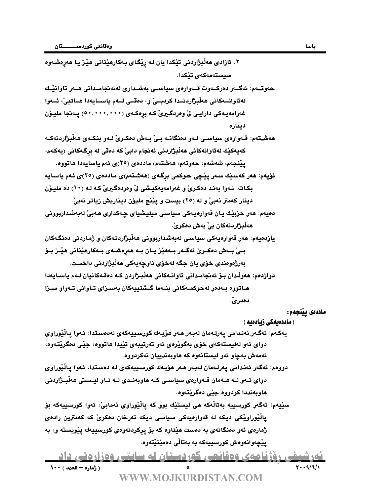- ۲. ئازادی هەڵبژاردنی تێکدا يان لـه رِيْگـای بـەکارهێنانی هێـز يـا هەرەشـەوە سىستەمەكەي تىكدا.
- حەوتــەم: ئەگــەر دەركــەوت قــەوارەي سياســي بەشــدارى لەئەنجامــدانى ھــەر تاوانيـْـك لەتاوانــەكانى ھەلْبژاردنــدا كردبــىْ و، دەقــى لــەم ياســايەدا ھــاتبىٰ، ئــەوا غەرامەيـەكى دارايـى ئى وەردگـيرى كـه برەكـەى (° ° • , • • • ) پـەنجا مليـۆن ديناره.
- ھە**شت**ەم: قـەوارەي سىياسـى لــەو دەنگانــە بــىٰ بــەش دەكـرىٰ لــەو بنكــەي ھەڵبژاردنـەكــە كەيەكێك لەتاوانەكانى ھەڵبژاردنى ئەنجام دابى كە دەقى لە برگەكانى (يەكەم، يَيْنجهم، شەشەم، حەوتەم، ھەشتەم) ماددەي (٢٥)ى ئەم ياسايەدا ھاتووە.
- <mark>نۆيەم</mark>: ھەر كەسىيك سەر يېچى حوكمى برگەي (ھەشتەم)ى ماددەي (٢٥)ى ئەم ياسايە بكات. ئـهوا بەنـد دەكـرىّ و غەرامەيەكيشى لّى وەردەگيرىّ كـه لـه (١٠) دە مليـوّن دينار كەمتر نەبىْ و لە (٢٥) بيست و يێنج مليۆن ديناريش زياتر نەبىْ.
- دهيهم: هەر حزبيّك يان قەوارەيـەكى سياسـى ميليشياي چـەكدارى هـەبىّ لەبەشداربوونى ھەڵبژاردنەكان بى بەش دەكرى ً.
- **يازندهيهم**: هەر قەوارەيەكى سياسى لەبەشداربوونى ھەلْبژاردنـەكان و ژماردنى دەنگـەكان بــيّ بــهش دەكــرێ ئەگــەر بــهھێز يــان بــه ھەرەشــەي بــەكارھێنانى ھێــز بــۆ بەرژەوەندى خۆي يان جگه لەخۆي ناوچەيەكى ھەلْبژاردنى داخست.
- دوازدهم: هەولْدان بـۆ ئەنجامـداني تاوانـەكاني ھەلْبـژاردن كـه دەقـەكانيان لــەم ياسـايەدا هـاتووه بــهدمر لهحوكمــهكاني بنــهما گــشتييهكان بهسـزاي تــاواني تــهواو سـزا دەدرى ْ

#### ماددەى يينجەم:

#### ( ماددەيەكى زيادەيە )

- يەكـەم: ئەگـەر ئەندامى يەرلـەمان لەبـەر ھـەر ھۆيـەك كورسىييەكەي لەدەسىتدا، ئـەوا يـالْيْوراوي دواي ئەو لەليستەكەي خۆي بەگويرەي ئەو تەرتيبەي تێيدا ھاتووە، جێي دەگريتتەوە، ئەمەش بەچاو ئەو ليستانەوە كە ھاوبەندييان نەكردووە.
- دووهم: ئەگەر ئەندامى يەرلەمان لەبەر ھەر ھۆيەك كورسىييەكەي لە دەستدا، ئەوا يالْيُوراوي دوای ئــهو لــه هــهمان قــهوارەی سياســی کــه هاوبەنــدی لــه نــاو ليــسىتى هەڵبــژاردنى هاوبهنددا كردووه جِيْي دەگريْتەوە.
- دوای نــهو نــه هــهمان نـــهوار*دی* سیاســی نــه هاوبهنــدی نــه نـــو لیــســ<br>هاوبهنددا کردووه جیّـی دهگریّـتهوه.<br>سیّیهم: ئهگەر کورسییه بهتالّـهکه هی لیستیّـك بوو که پالّیوراوی نهمابیّ، ئهو<br>پالّیوراویـّـکی دیـکه له قهوا سێيهم: ئەگەر كورسييە بەتاڵەكە ھى ليستێك بوو كە پاڵێوراوى نەمابىّ، ئەوا كورسييەكە بۆ يالْيْوراويْكى ديكه له قەوارەيەكى سياسى ديكە تەرخان دەكرىّ كە كەمترين رادەي ژمارەى ئەو دەنگانەى بە دەست ھێناوە كە بۆ پركردنەوەى كورسييەك پێويستە و، بە يێڃەوانەوەش كورسييەكە بە بەتالّى دەمێنێتەوە.

<u>- دورسیفی روژنامهی وهفایشی خوردستان که ساینیی وهرارهایی داد.</u>